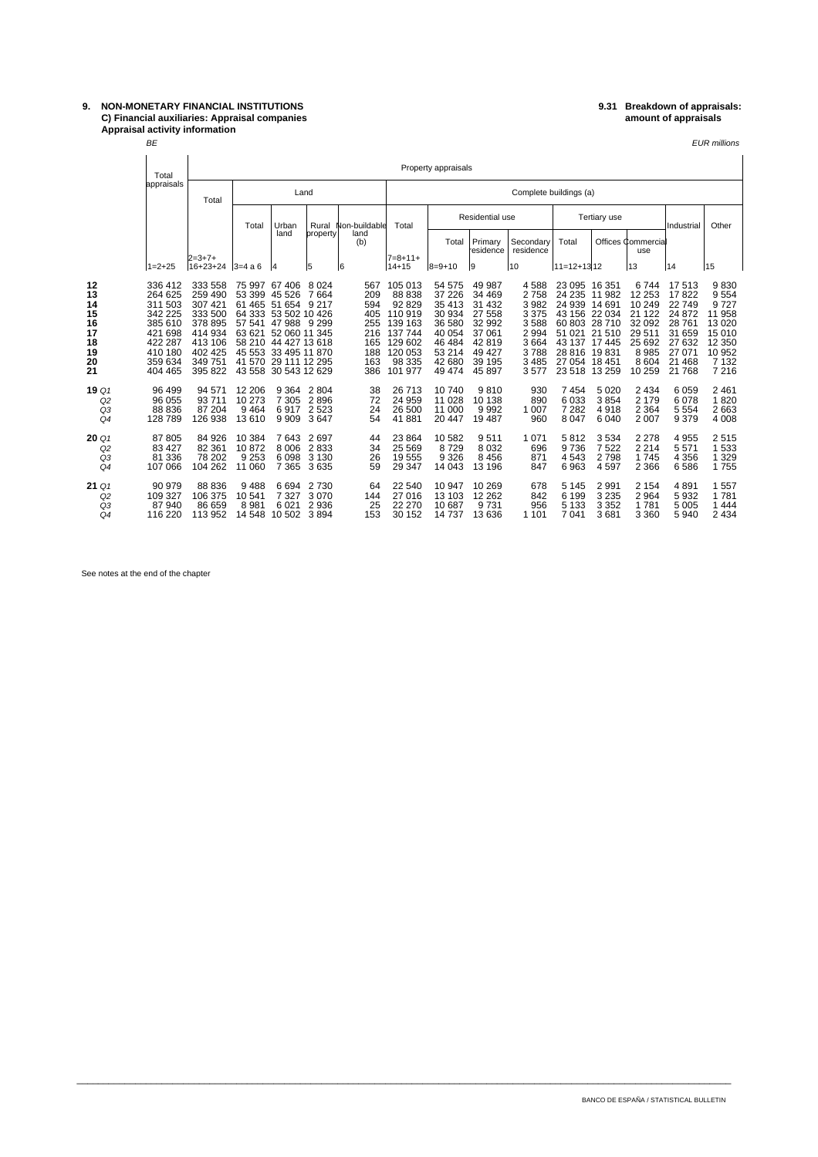## **9. NON-MONETARY FINANCIAL INSTITUTIONS 9.31 Breakdown of appraisals: C) Financial auxiliaries: Appraisal companies amount of appraisals Appraisal activity information**

| Appraisal activity information |       |                     |                        |  |  |  |  |  |  |  |  |  |
|--------------------------------|-------|---------------------|------------------------|--|--|--|--|--|--|--|--|--|
| <b>BE</b>                      |       |                     |                        |  |  |  |  |  |  |  |  |  |
|                                |       |                     |                        |  |  |  |  |  |  |  |  |  |
| Total                          |       | Property appraisals |                        |  |  |  |  |  |  |  |  |  |
| appraisals                     | Total | Land                | Complete buildings (a) |  |  |  |  |  |  |  |  |  |

|                |                                     | <b>TULAI</b>                           |                                        |                                       |                                                 |                                 |                        |                                       |                                     |                                    |                              |                                          |                                       |                                          |                                 |                                  |  |
|----------------|-------------------------------------|----------------------------------------|----------------------------------------|---------------------------------------|-------------------------------------------------|---------------------------------|------------------------|---------------------------------------|-------------------------------------|------------------------------------|------------------------------|------------------------------------------|---------------------------------------|------------------------------------------|---------------------------------|----------------------------------|--|
|                |                                     | appraisals                             | Total                                  |                                       |                                                 | Land                            |                        | Complete buildings (a)                |                                     |                                    |                              |                                          |                                       |                                          |                                 |                                  |  |
|                |                                     |                                        |                                        | Total                                 | Urban                                           | Rural                           | Non-buildable          | Total                                 | Residential use                     |                                    |                              |                                          | <b>Tertiary use</b>                   | Industrial                               | Other                           |                                  |  |
|                |                                     |                                        |                                        |                                       |                                                 | land                            | property               | land<br>(b)                           |                                     | Total                              | Primary<br>residence         | Secondary<br>residence                   | Total                                 |                                          | Offices Commercial<br>use       |                                  |  |
|                |                                     | $1 = 2 + 25$                           | $2 = 3 + 7 +$<br>16+23+24 3=4 a 6      |                                       | 14                                              | 5                               | 6                      | $7 = 8 + 11 +$<br>14+15               | $ 8=9+10$                           | 19                                 | 10                           | $ 11=12+13 12$                           |                                       | 13                                       | 14                              | 15                               |  |
| 12<br>13       |                                     | 336 412<br>264 625                     | 333 558<br>259 490                     | 75 997<br>53 399                      | 67406<br>45 526                                 | 8 0 2 4<br>7664                 | 567<br>209             | 105 013<br>88 838                     | 54 575<br>37 226                    | 49 987<br>34 469                   | 4588<br>2758                 | 23 095<br>24 235                         | 16 351<br>11 982                      | 6744<br>12 253                           | 17513<br>17822                  | 9830<br>9554                     |  |
| 14<br>15<br>16 |                                     | 311 503<br>342 225<br>385 610          | 307 421<br>333 500<br>378 895          | 61 465 51 654<br>64 333<br>57 541     | 53 502 10 426<br>47988                          | 9 2 1 7<br>9 2 9 9              | 594<br>405<br>255      | 92829<br>110 919<br>139 163           | 35 413<br>30 934<br>36 580          | 31 4 32<br>27 558<br>32 992        | 3 9 8 2<br>3 3 7 5<br>3588   | 24 939<br>43 156<br>60 803               | 14 691<br>22 0 34<br>28 710           | 10 249<br>21 1 22<br>32 092              | 22749<br>24 872<br>28 761       | 9727<br>11 958<br>13 0 20        |  |
| 17<br>18<br>19 |                                     | 421 698<br>422 287<br>410 180          | 414 934<br>413 106<br>402 425          | 63 621<br>58 210<br>45 553            | 52 060 11 345<br>44 427 13 618<br>33 495 11 870 |                                 | 216<br>165<br>188      | 137 744<br>129 602<br>120 053         | 40 054<br>46 484<br>53 214          | 37 061<br>42819<br>49 4 27         | 2 9 9 4<br>3664<br>3788      | 51 021<br>43 137<br>28 816               | 21 510<br>17 445<br>19831             | 29 511<br>25 692<br>8985                 | 31 659<br>27 632<br>27 071      | 15 010<br>12 350<br>10 952       |  |
| 20<br>21       |                                     | 359 634<br>404 465                     | 349 751<br>395 822                     | 41 570                                | 29 111 12 295<br>43 558 30 543 12 629           |                                 | 163<br>386             | 98 335<br>101 977                     | 42 680<br>49 474                    | 39 195<br>45 897                   | 3 4 8 5<br>3577              | 27 054 18 451<br>23 518 13 259           |                                       | 8604<br>10 259                           | 21 4 68<br>21 768               | 7 132<br>7 2 1 6                 |  |
| 19 Q1          | Q2<br>Q3<br>Q4                      | 96 499<br>96 055<br>88 836<br>128 789  | 94 571<br>93 711<br>87 204<br>126 938  | 12 206<br>10 273<br>9 4 6 4<br>13 610 | 9 3 6 4<br>7 3 0 5<br>6917<br>9 9 0 9           | 2804<br>2896<br>2 5 2 3<br>3647 | 38<br>72<br>24<br>54   | 26 713<br>24 959<br>26 500<br>41881   | 10740<br>11 028<br>11 000<br>20 447 | 9810<br>10 138<br>9992<br>19 487   | 930<br>890<br>1 0 0 7<br>960 | 7454<br>6033<br>7 2 8 2<br>8 0 4 7       | 5 0 20<br>3854<br>4918<br>6 0 4 0     | 2 4 3 4<br>2 1 7 9<br>2 3 6 4<br>2 0 0 7 | 6059<br>6078<br>5 5 5 4<br>9379 | 2461<br>1820<br>2663<br>4 0 0 8  |  |
| 20Q1           | Q <sub>2</sub><br>Q3<br>Q4          | 87 805<br>83 427<br>81 336<br>107 066  | 84 926<br>82 361<br>78 202<br>104 262  | 10 384<br>10872<br>9 2 5 3<br>11 060  | 7643<br>8 0 0 6<br>6098<br>7 3 6 5              | 2697<br>2833<br>3 1 3 0<br>3635 | 44<br>34<br>26<br>59   | 23 8 64<br>25 5 69<br>19555<br>29 347 | 10 582<br>8729<br>9 3 2 6<br>14 043 | 9511<br>8 0 3 2<br>8456<br>13 196  | 1 0 7 1<br>696<br>871<br>847 | 5812<br>9736<br>4543<br>6963             | 3534<br>7522<br>2798<br>4597          | 2 2 7 8<br>2 2 1 4<br>1745<br>2 3 6 6    | 4955<br>5571<br>4 3 5 6<br>6586 | 2515<br>1 533<br>1 3 2 9<br>1755 |  |
|                | 21 Q1<br>Q2<br>Q3<br>Q <sub>4</sub> | 90 979<br>109 327<br>87 940<br>116 220 | 88 836<br>106 375<br>86 659<br>113 952 | 9488<br>10 541<br>8981<br>14 548      | 6 6 9 4<br>7 3 2 7<br>6021<br>10 502            | 2 7 3 0<br>3070<br>2936<br>3894 | 64<br>144<br>25<br>153 | 22 540<br>27 016<br>22 270<br>30 152  | 10 947<br>13 103<br>10 687<br>14737 | 10 269<br>12 2 62<br>9731<br>13636 | 678<br>842<br>956<br>1 1 0 1 | 5 1 4 5<br>6 1 9 9<br>5 1 3 3<br>7 0 4 1 | 2 9 9 1<br>3 2 3 5<br>3 3 5 2<br>3681 | 2 1 5 4<br>2964<br>1781<br>3 3 6 0       | 4891<br>5932<br>5 0 0 5<br>5940 | 1 557<br>1781<br>1444<br>2434    |  |

\_\_\_\_\_\_\_\_\_\_\_\_\_\_\_\_\_\_\_\_\_\_\_\_\_\_\_\_\_\_\_\_\_\_\_\_\_\_\_\_\_\_\_\_\_\_\_\_\_\_\_\_\_\_\_\_\_\_\_\_\_\_\_\_\_\_\_\_\_\_\_\_\_\_\_\_\_\_\_\_\_\_\_\_\_\_\_\_\_\_\_\_\_\_\_\_\_\_\_\_\_\_\_\_\_\_\_\_\_\_\_\_\_\_\_\_\_\_\_\_\_\_\_

See notes at the end of the chapter